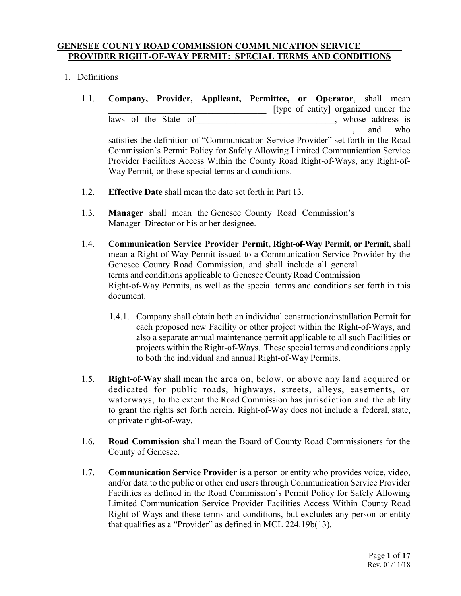#### **GENESEE COUNTY ROAD COMMISSION COMMUNICATION SERVICE PROVIDER RIGHT-OF-WAY PERMIT: SPECIAL TERMS AND CONDITIONS**

## 1. Definitions

- 1.1. **Company, Provider, Applicant, Permittee, or Operator**, shall mean [type of entity] organized under the laws of the State of example of the State of example and the state of example of  $\sim$ \_\_\_\_\_\_\_\_\_\_\_\_\_\_\_\_\_\_\_\_\_\_\_\_\_\_\_\_\_\_\_\_\_\_\_\_\_\_\_\_\_\_\_\_\_\_\_\_\_\_\_\_\_\_, and who satisfies the definition of "Communication Service Provider" set forth in the Road Commission's Permit Policy for Safely Allowing Limited Communication Service Provider Facilities Access Within the County Road Right-of-Ways, any Right-of-Way Permit, or these special terms and conditions.
- 1.2. **Effective Date** shall mean the date set forth in Part 13.
- 1.3. **Manager** shall mean the Genesee County Road Commission's Manager- Director or his or her designee.
- 1.4. **Communication Service Provider Permit, Right-of-Way Permit, or Permit,** shall mean a Right-of-Way Permit issued to a Communication Service Provider by the Genesee County Road Commission, and shall include all general terms and conditions applicable to Genesee County Road Commission Right-of-Way Permits, as well as the special terms and conditions set forth in this document.
	- 1.4.1. Company shall obtain both an individual construction/installation Permit for each proposed new Facility or other project within the Right-of-Ways, and also a separate annual maintenance permit applicable to all such Facilities or projects within the Right-of-Ways. These special terms and conditions apply to both the individual and annual Right-of-Way Permits.
- 1.5. **Right-of-Way** shall mean the area on, below, or above any land acquired or dedicated for public roads, highways, streets, alleys, easements, or waterways, to the extent the Road Commission has jurisdiction and the ability to grant the rights set forth herein. Right-of-Way does not include a federal, state, or private right-of-way.
- 1.6. **Road Commission** shall mean the Board of County Road Commissioners for the County of Genesee.
- 1.7. **Communication Service Provider** is a person or entity who provides voice, video, and/or data to the public or other end users through Communication Service Provider Facilities as defined in the Road Commission's Permit Policy for Safely Allowing Limited Communication Service Provider Facilities Access Within County Road Right-of-Ways and these terms and conditions, but excludes any person or entity that qualifies as a "Provider" as defined in MCL 224.19b(13).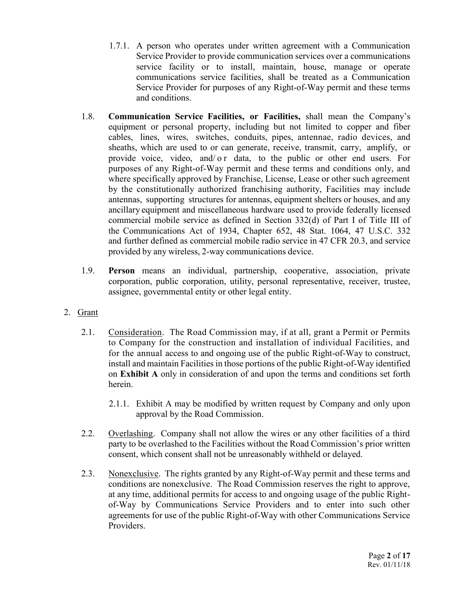- 1.7.1. A person who operates under written agreement with a Communication Service Provider to provide communication services over a communications service facility or to install, maintain, house, manage or operate communications service facilities, shall be treated as a Communication Service Provider for purposes of any Right-of-Way permit and these terms and conditions.
- 1.8. **Communication Service Facilities, or Facilities,** shall mean the Company's equipment or personal property, including but not limited to copper and fiber cables, lines, wires, switches, conduits, pipes, antennae, radio devices, and sheaths, which are used to or can generate, receive, transmit, carry, amplify, or provide voice, video, and/ o r data, to the public or other end users. For purposes of any Right-of-Way permit and these terms and conditions only, and where specifically approved by Franchise, License, Lease or other such agreement by the constitutionally authorized franchising authority, Facilities may include antennas, supporting structures for antennas, equipment shelters or houses, and any ancillary equipment and miscellaneous hardware used to provide federally licensed commercial mobile service as defined in Section 332(d) of Part I of Title III of the Communications Act of 1934, Chapter 652, 48 Stat. 1064, 47 U.S.C. 332 and further defined as commercial mobile radio service in 47 CFR 20.3, and service provided by any wireless, 2-way communications device.
- 1.9. **Person** means an individual, partnership, cooperative, association, private corporation, public corporation, utility, personal representative, receiver, trustee, assignee, governmental entity or other legal entity.
- 2. Grant
	- 2.1. Consideration. The Road Commission may, if at all, grant a Permit or Permits to Company for the construction and installation of individual Facilities, and for the annual access to and ongoing use of the public Right-of-Way to construct, install and maintain Facilities in those portions of the public Right-of-Way identified on **Exhibit A** only in consideration of and upon the terms and conditions set forth herein.
		- 2.1.1. Exhibit A may be modified by written request by Company and only upon approval by the Road Commission.
	- 2.2. Overlashing. Company shall not allow the wires or any other facilities of a third party to be overlashed to the Facilities without the Road Commission's prior written consent, which consent shall not be unreasonably withheld or delayed.
	- 2.3. Nonexclusive. The rights granted by any Right-of-Way permit and these terms and conditions are nonexclusive. The Road Commission reserves the right to approve, at any time, additional permits for access to and ongoing usage of the public Rightof-Way by Communications Service Providers and to enter into such other agreements for use of the public Right-of-Way with other Communications Service Providers.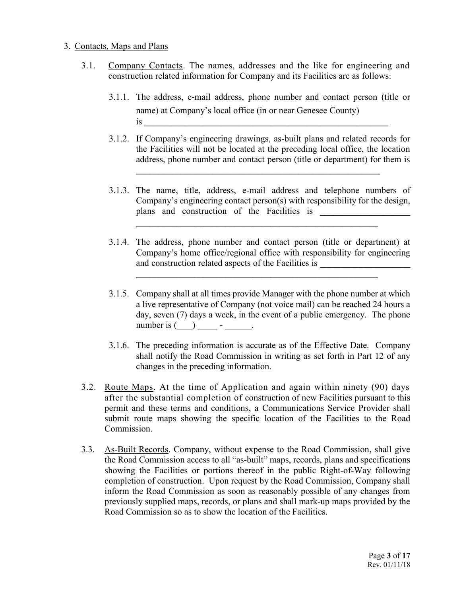#### 3. Contacts, Maps and Plans

- 3.1. Company Contacts. The names, addresses and the like for engineering and construction related information for Company and its Facilities are as follows:
	- 3.1.1. The address, e-mail address, phone number and contact person (title or name) at Company's local office (in or near Genesee County)  $\overline{\text{is}}$
	- 3.1.2. If Company's engineering drawings, as-built plans and related records for the Facilities will not be located at the preceding local office, the location address, phone number and contact person (title or department) for them is

**\_\_\_\_\_\_\_\_\_\_\_\_\_\_\_\_\_\_\_\_\_\_\_\_\_\_\_\_\_\_\_\_\_\_\_\_\_\_\_\_\_\_\_\_\_\_\_\_\_\_\_\_\_\_**

3.1.3. The name, title, address, e-mail address and telephone numbers of Company's engineering contact person(s) with responsibility for the design, plans and construction of the Facilities is **\_\_\_\_\_\_\_\_\_\_\_\_\_\_\_\_\_\_\_\_** 

**\_\_\_\_\_\_\_\_\_\_\_\_\_\_\_\_\_\_\_\_\_\_\_\_\_\_\_\_\_\_\_\_\_\_\_\_\_\_\_\_\_\_\_\_\_\_\_\_\_\_\_\_\_\_**

3.1.4. The address, phone number and contact person (title or department) at Company's home office/regional office with responsibility for engineering and construction related aspects of the Facilities is **\_\_\_\_\_\_\_\_\_\_\_\_\_\_\_\_\_\_\_\_** 

**\_\_\_\_\_\_\_\_\_\_\_\_\_\_\_\_\_\_\_\_\_\_\_\_\_\_\_\_\_\_\_\_\_\_\_\_\_\_\_\_\_\_\_\_\_\_\_\_\_\_\_\_\_\_**

- 3.1.5. Company shall at all times provide Manager with the phone number at which a live representative of Company (not voice mail) can be reached 24 hours a day, seven (7) days a week, in the event of a public emergency. The phone number is  $\overline{() \cdot \cdot \cdot}$  - \_\_\_\_\_\_.
- 3.1.6. The preceding information is accurate as of the Effective Date. Company shall notify the Road Commission in writing as set forth in Part 12 of any changes in the preceding information.
- 3.2. Route Maps. At the time of Application and again within ninety (90) days after the substantial completion of construction of new Facilities pursuant to this permit and these terms and conditions, a Communications Service Provider shall submit route maps showing the specific location of the Facilities to the Road Commission.
- 3.3. As-Built Records. Company, without expense to the Road Commission, shall give the Road Commission access to all "as-built" maps, records, plans and specifications showing the Facilities or portions thereof in the public Right-of-Way following completion of construction. Upon request by the Road Commission, Company shall inform the Road Commission as soon as reasonably possible of any changes from previously supplied maps, records, or plans and shall mark-up maps provided by the Road Commission so as to show the location of the Facilities.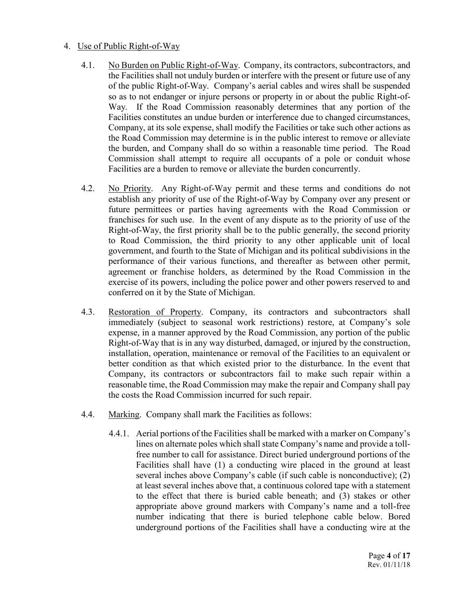## 4. Use of Public Right-of-Way

- 4.1. No Burden on Public Right-of-Way. Company, its contractors, subcontractors, and the Facilities shall not unduly burden or interfere with the present or future use of any of the public Right-of-Way. Company's aerial cables and wires shall be suspended so as to not endanger or injure persons or property in or about the public Right-of-Way. If the Road Commission reasonably determines that any portion of the Facilities constitutes an undue burden or interference due to changed circumstances, Company, at its sole expense, shall modify the Facilities or take such other actions as the Road Commission may determine is in the public interest to remove or alleviate the burden, and Company shall do so within a reasonable time period. The Road Commission shall attempt to require all occupants of a pole or conduit whose Facilities are a burden to remove or alleviate the burden concurrently.
- 4.2. No Priority. Any Right-of-Way permit and these terms and conditions do not establish any priority of use of the Right-of-Way by Company over any present or future permittees or parties having agreements with the Road Commission or franchises for such use. In the event of any dispute as to the priority of use of the Right-of-Way, the first priority shall be to the public generally, the second priority to Road Commission, the third priority to any other applicable unit of local government, and fourth to the State of Michigan and its political subdivisions in the performance of their various functions, and thereafter as between other permit, agreement or franchise holders, as determined by the Road Commission in the exercise of its powers, including the police power and other powers reserved to and conferred on it by the State of Michigan.
- 4.3. Restoration of Property. Company, its contractors and subcontractors shall immediately (subject to seasonal work restrictions) restore, at Company's sole expense, in a manner approved by the Road Commission, any portion of the public Right-of-Way that is in any way disturbed, damaged, or injured by the construction, installation, operation, maintenance or removal of the Facilities to an equivalent or better condition as that which existed prior to the disturbance. In the event that Company, its contractors or subcontractors fail to make such repair within a reasonable time, the Road Commission may make the repair and Company shall pay the costs the Road Commission incurred for such repair.
- 4.4. Marking. Company shall mark the Facilities as follows:
	- 4.4.1. Aerial portions of the Facilities shall be marked with a marker on Company's lines on alternate poles which shall state Company's name and provide a tollfree number to call for assistance. Direct buried underground portions of the Facilities shall have (1) a conducting wire placed in the ground at least several inches above Company's cable (if such cable is nonconductive); (2) at least several inches above that, a continuous colored tape with a statement to the effect that there is buried cable beneath; and (3) stakes or other appropriate above ground markers with Company's name and a toll-free number indicating that there is buried telephone cable below. Bored underground portions of the Facilities shall have a conducting wire at the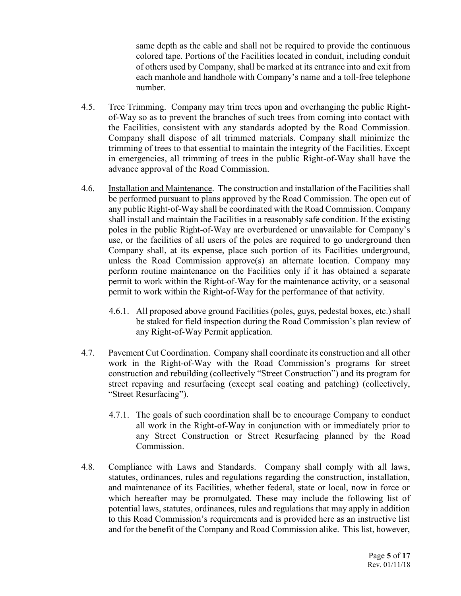same depth as the cable and shall not be required to provide the continuous colored tape. Portions of the Facilities located in conduit, including conduit of others used by Company, shall be marked at its entrance into and exit from each manhole and handhole with Company's name and a toll-free telephone number.

- 4.5. Tree Trimming. Company may trim trees upon and overhanging the public Rightof-Way so as to prevent the branches of such trees from coming into contact with the Facilities, consistent with any standards adopted by the Road Commission. Company shall dispose of all trimmed materials. Company shall minimize the trimming of trees to that essential to maintain the integrity of the Facilities. Except in emergencies, all trimming of trees in the public Right-of-Way shall have the advance approval of the Road Commission.
- 4.6. Installation and Maintenance. The construction and installation of the Facilities shall be performed pursuant to plans approved by the Road Commission. The open cut of any public Right-of-Way shall be coordinated with the Road Commission. Company shall install and maintain the Facilities in a reasonably safe condition. If the existing poles in the public Right-of-Way are overburdened or unavailable for Company's use, or the facilities of all users of the poles are required to go underground then Company shall, at its expense, place such portion of its Facilities underground, unless the Road Commission approve(s) an alternate location. Company may perform routine maintenance on the Facilities only if it has obtained a separate permit to work within the Right-of-Way for the maintenance activity, or a seasonal permit to work within the Right-of-Way for the performance of that activity.
	- 4.6.1. All proposed above ground Facilities (poles, guys, pedestal boxes, etc.) shall be staked for field inspection during the Road Commission's plan review of any Right-of-Way Permit application.
- 4.7. Pavement Cut Coordination. Company shall coordinate its construction and all other work in the Right-of-Way with the Road Commission's programs for street construction and rebuilding (collectively "Street Construction") and its program for street repaving and resurfacing (except seal coating and patching) (collectively, "Street Resurfacing").
	- 4.7.1. The goals of such coordination shall be to encourage Company to conduct all work in the Right-of-Way in conjunction with or immediately prior to any Street Construction or Street Resurfacing planned by the Road Commission.
- 4.8. Compliance with Laws and Standards. Company shall comply with all laws, statutes, ordinances, rules and regulations regarding the construction, installation, and maintenance of its Facilities, whether federal, state or local, now in force or which hereafter may be promulgated. These may include the following list of potential laws, statutes, ordinances, rules and regulations that may apply in addition to this Road Commission's requirements and is provided here as an instructive list and for the benefit of the Company and Road Commission alike. This list, however,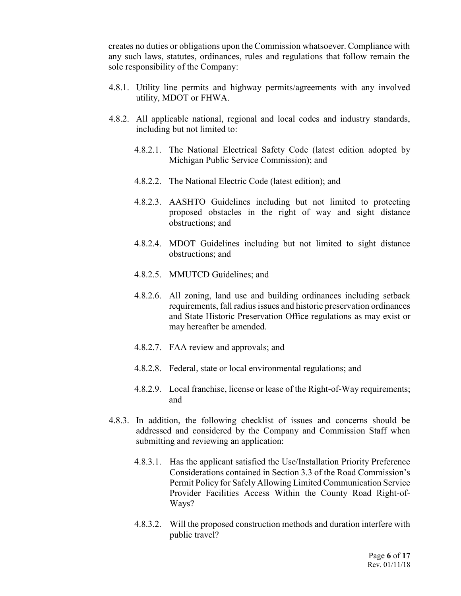creates no duties or obligations upon the Commission whatsoever. Compliance with any such laws, statutes, ordinances, rules and regulations that follow remain the sole responsibility of the Company:

- 4.8.1. Utility line permits and highway permits/agreements with any involved utility, MDOT or FHWA.
- 4.8.2. All applicable national, regional and local codes and industry standards, including but not limited to:
	- 4.8.2.1. The National Electrical Safety Code (latest edition adopted by Michigan Public Service Commission); and
	- 4.8.2.2. The National Electric Code (latest edition); and
	- 4.8.2.3. AASHTO Guidelines including but not limited to protecting proposed obstacles in the right of way and sight distance obstructions; and
	- 4.8.2.4. MDOT Guidelines including but not limited to sight distance obstructions; and
	- 4.8.2.5. MMUTCD Guidelines; and
	- 4.8.2.6. All zoning, land use and building ordinances including setback requirements, fall radius issues and historic preservation ordinances and State Historic Preservation Office regulations as may exist or may hereafter be amended.
	- 4.8.2.7. FAA review and approvals; and
	- 4.8.2.8. Federal, state or local environmental regulations; and
	- 4.8.2.9. Local franchise, license or lease of the Right-of-Way requirements; and
- 4.8.3. In addition, the following checklist of issues and concerns should be addressed and considered by the Company and Commission Staff when submitting and reviewing an application:
	- 4.8.3.1. Has the applicant satisfied the Use/Installation Priority Preference Considerations contained in Section 3.3 of the Road Commission's Permit Policy for Safely Allowing Limited Communication Service Provider Facilities Access Within the County Road Right-of-Ways?
	- 4.8.3.2. Will the proposed construction methods and duration interfere with public travel?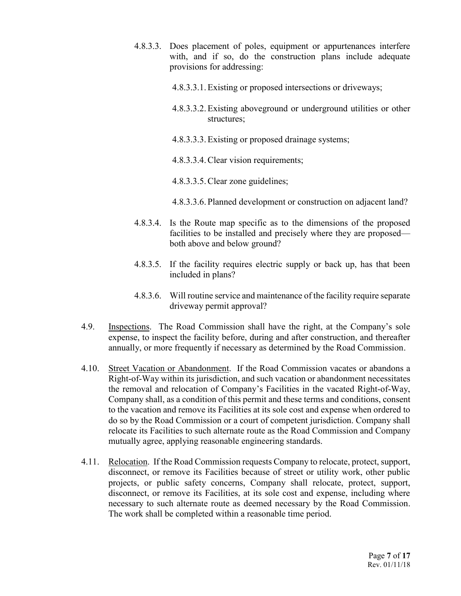- 4.8.3.3. Does placement of poles, equipment or appurtenances interfere with, and if so, do the construction plans include adequate provisions for addressing:
	- 4.8.3.3.1.Existing or proposed intersections or driveways;
	- 4.8.3.3.2.Existing aboveground or underground utilities or other structures;
	- 4.8.3.3.3.Existing or proposed drainage systems;
	- 4.8.3.3.4.Clear vision requirements;
	- 4.8.3.3.5.Clear zone guidelines;
	- 4.8.3.3.6. Planned development or construction on adjacent land?
- 4.8.3.4. Is the Route map specific as to the dimensions of the proposed facilities to be installed and precisely where they are proposed both above and below ground?
- 4.8.3.5. If the facility requires electric supply or back up, has that been included in plans?
- 4.8.3.6. Will routine service and maintenance of the facility require separate driveway permit approval?
- 4.9. Inspections. The Road Commission shall have the right, at the Company's sole expense, to inspect the facility before, during and after construction, and thereafter annually, or more frequently if necessary as determined by the Road Commission.
- 4.10. Street Vacation or Abandonment. If the Road Commission vacates or abandons a Right-of-Way within its jurisdiction, and such vacation or abandonment necessitates the removal and relocation of Company's Facilities in the vacated Right-of-Way, Company shall, as a condition of this permit and these terms and conditions, consent to the vacation and remove its Facilities at its sole cost and expense when ordered to do so by the Road Commission or a court of competent jurisdiction. Company shall relocate its Facilities to such alternate route as the Road Commission and Company mutually agree, applying reasonable engineering standards.
- 4.11. Relocation. If the Road Commission requests Company to relocate, protect, support, disconnect, or remove its Facilities because of street or utility work, other public projects, or public safety concerns, Company shall relocate, protect, support, disconnect, or remove its Facilities, at its sole cost and expense, including where necessary to such alternate route as deemed necessary by the Road Commission. The work shall be completed within a reasonable time period.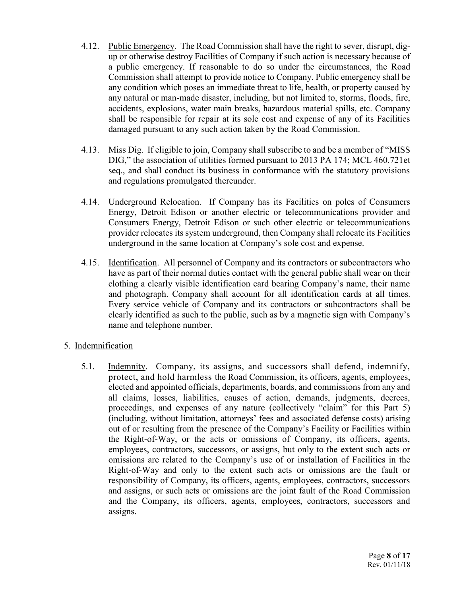- 4.12. Public Emergency. The Road Commission shall have the right to sever, disrupt, digup or otherwise destroy Facilities of Company if such action is necessary because of a public emergency. If reasonable to do so under the circumstances, the Road Commission shall attempt to provide notice to Company. Public emergency shall be any condition which poses an immediate threat to life, health, or property caused by any natural or man-made disaster, including, but not limited to, storms, floods, fire, accidents, explosions, water main breaks, hazardous material spills, etc. Company shall be responsible for repair at its sole cost and expense of any of its Facilities damaged pursuant to any such action taken by the Road Commission.
- 4.13. Miss Dig. If eligible to join, Company shall subscribe to and be a member of "MISS DIG," the association of utilities formed pursuant to 2013 PA 174; MCL 460.721et seq., and shall conduct its business in conformance with the statutory provisions and regulations promulgated thereunder.
- 4.14. Underground Relocation. If Company has its Facilities on poles of Consumers Energy, Detroit Edison or another electric or telecommunications provider and Consumers Energy, Detroit Edison or such other electric or telecommunications provider relocates its system underground, then Company shall relocate its Facilities underground in the same location at Company's sole cost and expense.
- 4.15. Identification. All personnel of Company and its contractors or subcontractors who have as part of their normal duties contact with the general public shall wear on their clothing a clearly visible identification card bearing Company's name, their name and photograph. Company shall account for all identification cards at all times. Every service vehicle of Company and its contractors or subcontractors shall be clearly identified as such to the public, such as by a magnetic sign with Company's name and telephone number.

## 5. Indemnification

5.1. Indemnity. Company, its assigns, and successors shall defend, indemnify, protect, and hold harmless the Road Commission, its officers, agents, employees, elected and appointed officials, departments, boards, and commissions from any and all claims, losses, liabilities, causes of action, demands, judgments, decrees, proceedings, and expenses of any nature (collectively "claim" for this Part 5) (including, without limitation, attorneys' fees and associated defense costs) arising out of or resulting from the presence of the Company's Facility or Facilities within the Right-of-Way, or the acts or omissions of Company, its officers, agents, employees, contractors, successors, or assigns, but only to the extent such acts or omissions are related to the Company's use of or installation of Facilities in the Right-of-Way and only to the extent such acts or omissions are the fault or responsibility of Company, its officers, agents, employees, contractors, successors and assigns, or such acts or omissions are the joint fault of the Road Commission and the Company, its officers, agents, employees, contractors, successors and assigns.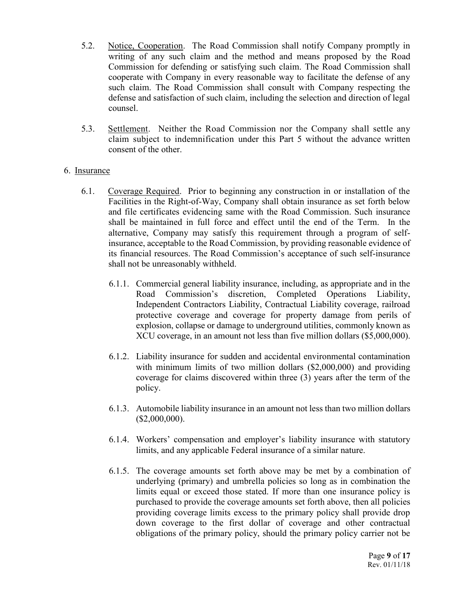- 5.2. Notice, Cooperation. The Road Commission shall notify Company promptly in writing of any such claim and the method and means proposed by the Road Commission for defending or satisfying such claim. The Road Commission shall cooperate with Company in every reasonable way to facilitate the defense of any such claim. The Road Commission shall consult with Company respecting the defense and satisfaction of such claim, including the selection and direction of legal counsel.
- 5.3. Settlement. Neither the Road Commission nor the Company shall settle any claim subject to indemnification under this Part 5 without the advance written consent of the other.

#### 6. Insurance

- 6.1. Coverage Required. Prior to beginning any construction in or installation of the Facilities in the Right-of-Way, Company shall obtain insurance as set forth below and file certificates evidencing same with the Road Commission. Such insurance shall be maintained in full force and effect until the end of the Term. In the alternative, Company may satisfy this requirement through a program of selfinsurance, acceptable to the Road Commission, by providing reasonable evidence of its financial resources. The Road Commission's acceptance of such self-insurance shall not be unreasonably withheld.
	- 6.1.1. Commercial general liability insurance, including, as appropriate and in the Road Commission's discretion, Completed Operations Liability, Independent Contractors Liability, Contractual Liability coverage, railroad protective coverage and coverage for property damage from perils of explosion, collapse or damage to underground utilities, commonly known as XCU coverage, in an amount not less than five million dollars (\$5,000,000).
	- 6.1.2. Liability insurance for sudden and accidental environmental contamination with minimum limits of two million dollars (\$2,000,000) and providing coverage for claims discovered within three (3) years after the term of the policy.
	- 6.1.3. Automobile liability insurance in an amount not less than two million dollars (\$2,000,000).
	- 6.1.4. Workers' compensation and employer's liability insurance with statutory limits, and any applicable Federal insurance of a similar nature.
	- 6.1.5. The coverage amounts set forth above may be met by a combination of underlying (primary) and umbrella policies so long as in combination the limits equal or exceed those stated. If more than one insurance policy is purchased to provide the coverage amounts set forth above, then all policies providing coverage limits excess to the primary policy shall provide drop down coverage to the first dollar of coverage and other contractual obligations of the primary policy, should the primary policy carrier not be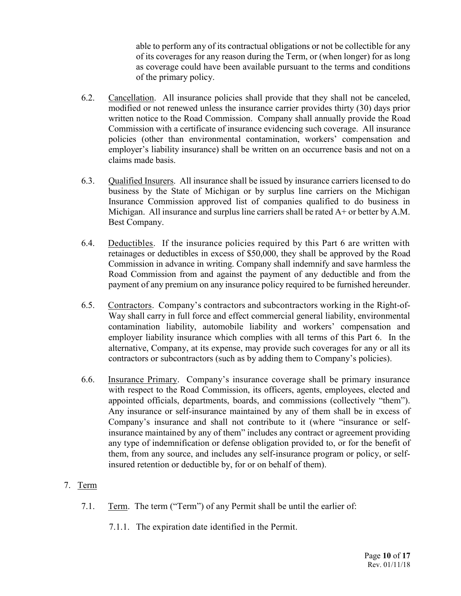able to perform any of its contractual obligations or not be collectible for any of its coverages for any reason during the Term, or (when longer) for as long as coverage could have been available pursuant to the terms and conditions of the primary policy.

- 6.2. Cancellation. All insurance policies shall provide that they shall not be canceled, modified or not renewed unless the insurance carrier provides thirty (30) days prior written notice to the Road Commission. Company shall annually provide the Road Commission with a certificate of insurance evidencing such coverage. All insurance policies (other than environmental contamination, workers' compensation and employer's liability insurance) shall be written on an occurrence basis and not on a claims made basis.
- 6.3. Qualified Insurers. All insurance shall be issued by insurance carriers licensed to do business by the State of Michigan or by surplus line carriers on the Michigan Insurance Commission approved list of companies qualified to do business in Michigan. All insurance and surplus line carriers shall be rated A+ or better by A.M. Best Company.
- 6.4. Deductibles. If the insurance policies required by this Part 6 are written with retainages or deductibles in excess of \$50,000, they shall be approved by the Road Commission in advance in writing. Company shall indemnify and save harmless the Road Commission from and against the payment of any deductible and from the payment of any premium on any insurance policy required to be furnished hereunder.
- 6.5. Contractors. Company's contractors and subcontractors working in the Right-of-Way shall carry in full force and effect commercial general liability, environmental contamination liability, automobile liability and workers' compensation and employer liability insurance which complies with all terms of this Part 6. In the alternative, Company, at its expense, may provide such coverages for any or all its contractors or subcontractors (such as by adding them to Company's policies).
- 6.6. Insurance Primary. Company's insurance coverage shall be primary insurance with respect to the Road Commission, its officers, agents, employees, elected and appointed officials, departments, boards, and commissions (collectively "them"). Any insurance or self-insurance maintained by any of them shall be in excess of Company's insurance and shall not contribute to it (where "insurance or selfinsurance maintained by any of them" includes any contract or agreement providing any type of indemnification or defense obligation provided to, or for the benefit of them, from any source, and includes any self-insurance program or policy, or selfinsured retention or deductible by, for or on behalf of them).

# 7. Term

- 7.1. Term. The term ("Term") of any Permit shall be until the earlier of:
	- 7.1.1. The expiration date identified in the Permit.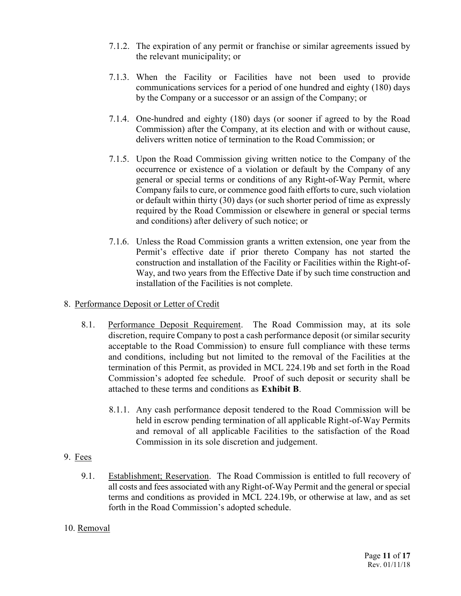- 7.1.2. The expiration of any permit or franchise or similar agreements issued by the relevant municipality; or
- 7.1.3. When the Facility or Facilities have not been used to provide communications services for a period of one hundred and eighty (180) days by the Company or a successor or an assign of the Company; or
- 7.1.4. One-hundred and eighty (180) days (or sooner if agreed to by the Road Commission) after the Company, at its election and with or without cause, delivers written notice of termination to the Road Commission; or
- 7.1.5. Upon the Road Commission giving written notice to the Company of the occurrence or existence of a violation or default by the Company of any general or special terms or conditions of any Right-of-Way Permit, where Company fails to cure, or commence good faith efforts to cure, such violation or default within thirty (30) days (or such shorter period of time as expressly required by the Road Commission or elsewhere in general or special terms and conditions) after delivery of such notice; or
- 7.1.6. Unless the Road Commission grants a written extension, one year from the Permit's effective date if prior thereto Company has not started the construction and installation of the Facility or Facilities within the Right-of-Way, and two years from the Effective Date if by such time construction and installation of the Facilities is not complete.
- 8. Performance Deposit or Letter of Credit
	- 8.1. Performance Deposit Requirement. The Road Commission may, at its sole discretion, require Company to post a cash performance deposit (or similar security acceptable to the Road Commission) to ensure full compliance with these terms and conditions, including but not limited to the removal of the Facilities at the termination of this Permit, as provided in MCL 224.19b and set forth in the Road Commission's adopted fee schedule. Proof of such deposit or security shall be attached to these terms and conditions as **Exhibit B**.
		- 8.1.1. Any cash performance deposit tendered to the Road Commission will be held in escrow pending termination of all applicable Right-of-Way Permits and removal of all applicable Facilities to the satisfaction of the Road Commission in its sole discretion and judgement.
- 9. Fees
	- 9.1. Establishment; Reservation. The Road Commission is entitled to full recovery of all costs and fees associated with any Right-of-Way Permit and the general or special terms and conditions as provided in MCL 224.19b, or otherwise at law, and as set forth in the Road Commission's adopted schedule.
- 10. Removal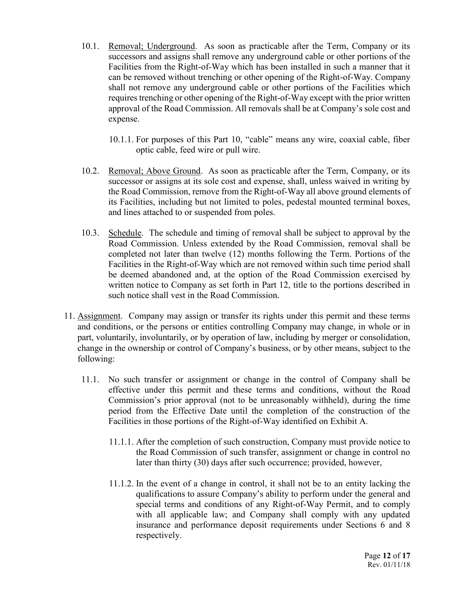- 10.1. Removal; Underground. As soon as practicable after the Term, Company or its successors and assigns shall remove any underground cable or other portions of the Facilities from the Right-of-Way which has been installed in such a manner that it can be removed without trenching or other opening of the Right-of-Way. Company shall not remove any underground cable or other portions of the Facilities which requires trenching or other opening of the Right-of-Way except with the prior written approval of the Road Commission. All removals shall be at Company's sole cost and expense.
	- 10.1.1. For purposes of this Part 10, "cable" means any wire, coaxial cable, fiber optic cable, feed wire or pull wire.
- 10.2. Removal; Above Ground. As soon as practicable after the Term, Company, or its successor or assigns at its sole cost and expense, shall, unless waived in writing by the Road Commission, remove from the Right-of-Way all above ground elements of its Facilities, including but not limited to poles, pedestal mounted terminal boxes, and lines attached to or suspended from poles.
- 10.3. Schedule. The schedule and timing of removal shall be subject to approval by the Road Commission. Unless extended by the Road Commission, removal shall be completed not later than twelve (12) months following the Term. Portions of the Facilities in the Right-of-Way which are not removed within such time period shall be deemed abandoned and, at the option of the Road Commission exercised by written notice to Company as set forth in Part 12, title to the portions described in such notice shall vest in the Road Commission.
- 11. Assignment. Company may assign or transfer its rights under this permit and these terms and conditions, or the persons or entities controlling Company may change, in whole or in part, voluntarily, involuntarily, or by operation of law, including by merger or consolidation, change in the ownership or control of Company's business, or by other means, subject to the following:
	- 11.1. No such transfer or assignment or change in the control of Company shall be effective under this permit and these terms and conditions, without the Road Commission's prior approval (not to be unreasonably withheld), during the time period from the Effective Date until the completion of the construction of the Facilities in those portions of the Right-of-Way identified on Exhibit A.
		- 11.1.1. After the completion of such construction, Company must provide notice to the Road Commission of such transfer, assignment or change in control no later than thirty (30) days after such occurrence; provided, however,
		- 11.1.2. In the event of a change in control, it shall not be to an entity lacking the qualifications to assure Company's ability to perform under the general and special terms and conditions of any Right-of-Way Permit, and to comply with all applicable law; and Company shall comply with any updated insurance and performance deposit requirements under Sections 6 and 8 respectively.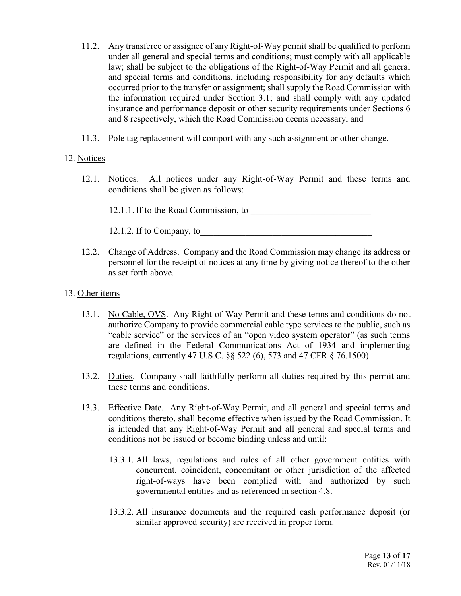- 11.2. Any transferee or assignee of any Right-of-Way permit shall be qualified to perform under all general and special terms and conditions; must comply with all applicable law; shall be subject to the obligations of the Right-of-Way Permit and all general and special terms and conditions, including responsibility for any defaults which occurred prior to the transfer or assignment; shall supply the Road Commission with the information required under Section 3.1; and shall comply with any updated insurance and performance deposit or other security requirements under Sections 6 and 8 respectively, which the Road Commission deems necessary, and
- 11.3. Pole tag replacement will comport with any such assignment or other change.

## 12. Notices

12.1. Notices. All notices under any Right-of-Way Permit and these terms and conditions shall be given as follows:

12.1.1. If to the Road Commission, to \_\_\_\_\_\_\_\_\_\_\_\_\_\_\_\_\_\_\_\_\_\_\_\_\_\_

12.1.2. If to Company, to\_\_\_\_\_\_\_\_\_\_\_\_\_\_\_\_\_\_\_\_\_\_\_\_\_\_\_\_\_\_\_\_\_\_\_\_\_\_

12.2. Change of Address. Company and the Road Commission may change its address or personnel for the receipt of notices at any time by giving notice thereof to the other as set forth above.

## 13. Other items

- 13.1. No Cable, OVS. Any Right-of-Way Permit and these terms and conditions do not authorize Company to provide commercial cable type services to the public, such as "cable service" or the services of an "open video system operator" (as such terms are defined in the Federal Communications Act of 1934 and implementing regulations, currently 47 U.S.C. §§ 522 (6), 573 and 47 CFR § 76.1500).
- 13.2. Duties. Company shall faithfully perform all duties required by this permit and these terms and conditions.
- 13.3. Effective Date. Any Right-of-Way Permit, and all general and special terms and conditions thereto, shall become effective when issued by the Road Commission. It is intended that any Right-of-Way Permit and all general and special terms and conditions not be issued or become binding unless and until:
	- 13.3.1. All laws, regulations and rules of all other government entities with concurrent, coincident, concomitant or other jurisdiction of the affected right-of-ways have been complied with and authorized by such governmental entities and as referenced in section 4.8.
	- 13.3.2. All insurance documents and the required cash performance deposit (or similar approved security) are received in proper form.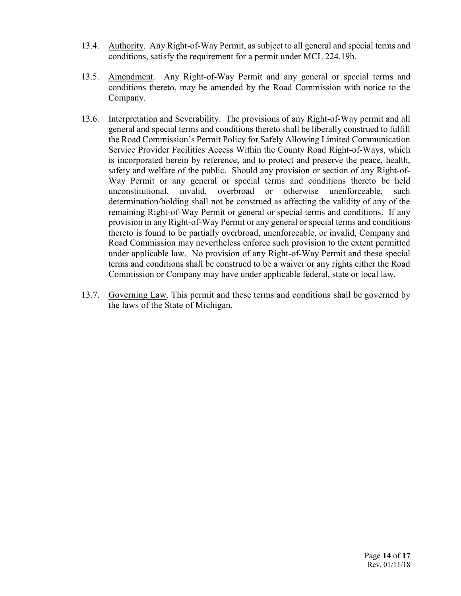- 13.4. Authority. Any Right-of-Way Permit, as subject to all general and special terms and conditions, satisfy the requirement for a permit under MCL 224.19b.
- 13.5. Amendment. Any Right-of-Way Permit and any general or special terms and conditions thereto, may be amended by the Road Commission with notice to the Company.
- 13.6. Interpretation and Severability. The provisions of any Right-of-Way permit and all general and special terms and conditions thereto shall be liberally construed to fulfill the Road Commission's Permit Policy for Safely Allowing Limited Communication Service Provider Facilities Access Within the County Road Right-of-Ways, which is incorporated herein by reference, and to protect and preserve the peace, health, safety and welfare of the public. Should any provision or section of any Right-of-Way Permit or any general or special terms and conditions thereto be held unconstitutional, invalid, overbroad or otherwise unenforceable, such determination/holding shall not be construed as affecting the validity of any of the remaining Right-of-Way Permit or general or special terms and conditions. If any provision in any Right-of-Way Permit or any general or special terms and conditions thereto is found to be partially overbroad, unenforceable, or invalid, Company and Road Commission may nevertheless enforce such provision to the extent permitted under applicable law. No provision of any Right-of-Way Permit and these special terms and conditions shall be construed to be a waiver or any rights either the Road Commission or Company may have under applicable federal, state or local law.
- 13.7. Governing Law. This permit and these terms and conditions shall be governed by the laws of the State of Michigan.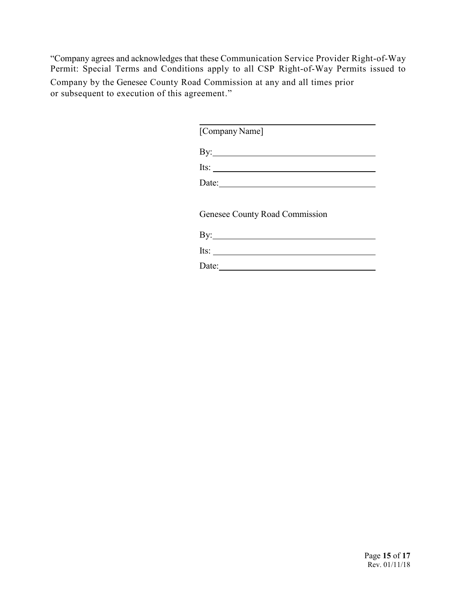"Company agrees and acknowledges that these Communication Service Provider Right-of-Way Permit: Special Terms and Conditions apply to all CSP Right-of-Way Permits issued to Company by the Genesee County Road Commission at any and all times prior or subsequent to execution of this agreement."

 $\overline{a}$ 

[Company Name]

By: <u>second</u> and the second second second second second second second second second second second second second second second second second second second second second second second second second second second second secon

Its: Date:

Genesee County Road Commission

| By:   |  |  |  |
|-------|--|--|--|
| Its:  |  |  |  |
| Date: |  |  |  |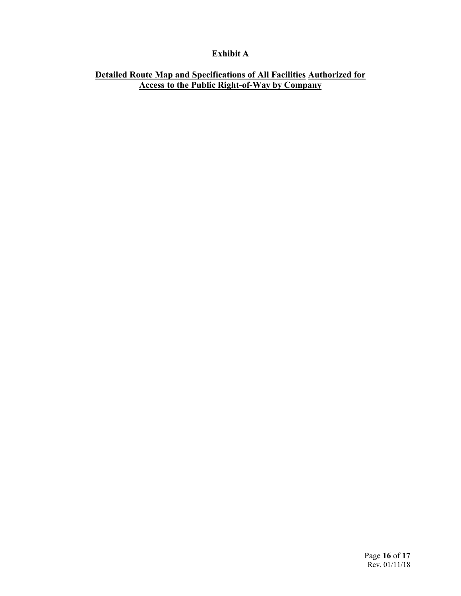# **Exhibit A**

## **Detailed Route Map and Specifications of All Facilities Authorized for Access to the Public Right-of-Way by Company**